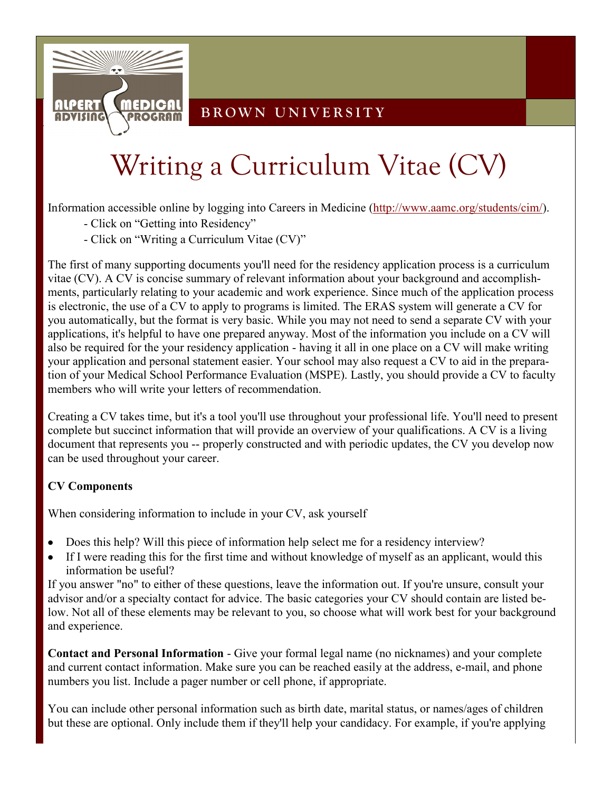

### **B R O W N U N I V E R S I T Y**

# Writing a Curriculum Vitae (CV)

Information accessible online by logging into Careers in Medicine ([http://www.aamc.org/students/cim/\).](http://www.aamc.org/students/cim/)

- Click on "Getting into Residency"
- Click on "Writing a Curriculum Vitae (CV)"

The first of many supporting documents you'll need for the residency application process is a curriculum vitae (CV). A CV is concise summary of relevant information about your background and accomplishments, particularly relating to your academic and work experience. Since much of the application process is electronic, the use of a CV to apply to programs is limited. The ERAS system will generate a CV for you automatically, but the format is very basic. While you may not need to send a separate CV with your applications, it's helpful to have one prepared anyway. Most of the information you include on a CV will also be required for the your residency application - having it all in one place on a CV will make writing your application and personal statement easier. Your school may also request a CV to aid in the preparation of your Medical School Performance Evaluation (MSPE). Lastly, you should provide a CV to faculty members who will write your letters of recommendation.

Creating a CV takes time, but it's a tool you'll use throughout your professional life. You'll need to present complete but succinct information that will provide an overview of your qualifications. A CV is a living document that represents you -- properly constructed and with periodic updates, the CV you develop now can be used throughout your career.

#### **CV Components**

When considering information to include in your CV, ask yourself

- Does this help? Will this piece of information help select me for a residency interview?
- If I were reading this for the first time and without knowledge of myself as an applicant, would this information be useful?

If you answer "no" to either of these questions, leave the information out. If you're unsure, consult your advisor and/or a specialty contact for advice. The basic categories your CV should contain are listed below. Not all of these elements may be relevant to you, so choose what will work best for your background and experience.

**Contact and Personal Information** - Give your formal legal name (no nicknames) and your complete and current contact information. Make sure you can be reached easily at the address, e-mail, and phone numbers you list. Include a pager number or cell phone, if appropriate.

You can include other personal information such as birth date, marital status, or names/ages of children but these are optional. Only include them if they'll help your candidacy. For example, if you're applying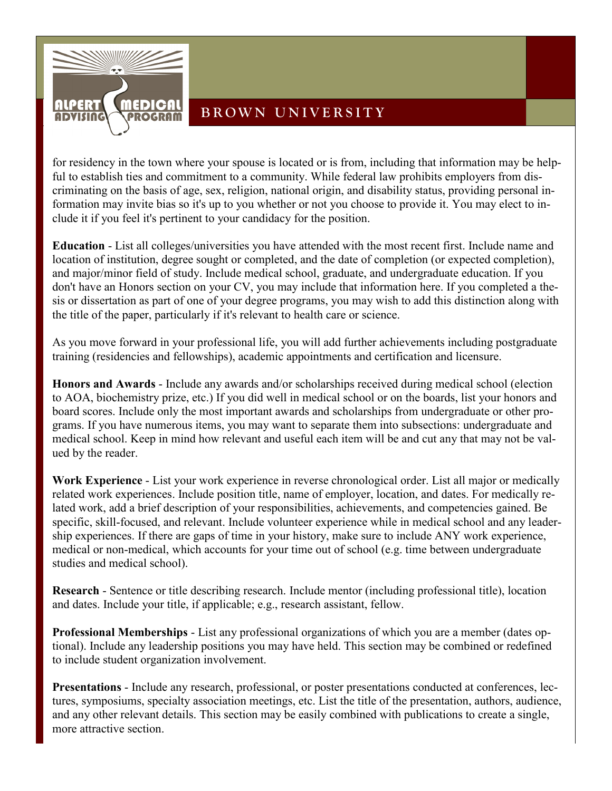

## **BROWN UNIVERSITY**

for residency in the town where your spouse is located or is from, including that information may be helpful to establish ties and commitment to a community. While federal law prohibits employers from discriminating on the basis of age, sex, religion, national origin, and disability status, providing personal information may invite bias so it's up to you whether or not you choose to provide it. You may elect to include it if you feel it's pertinent to your candidacy for the position.

**Education** - List all colleges/universities you have attended with the most recent first. Include name and location of institution, degree sought or completed, and the date of completion (or expected completion), and major/minor field of study. Include medical school, graduate, and undergraduate education. If you don't have an Honors section on your CV, you may include that information here. If you completed a thesis or dissertation as part of one of your degree programs, you may wish to add this distinction along with the title of the paper, particularly if it's relevant to health care or science.

As you move forward in your professional life, you will add further achievements including postgraduate training (residencies and fellowships), academic appointments and certification and licensure.

**Honors and Awards** - Include any awards and/or scholarships received during medical school (election to AOA, biochemistry prize, etc.) If you did well in medical school or on the boards, list your honors and board scores. Include only the most important awards and scholarships from undergraduate or other programs. If you have numerous items, you may want to separate them into subsections: undergraduate and medical school. Keep in mind how relevant and useful each item will be and cut any that may not be valued by the reader.

**Work Experience** - List your work experience in reverse chronological order. List all major or medically related work experiences. Include position title, name of employer, location, and dates. For medically related work, add a brief description of your responsibilities, achievements, and competencies gained. Be specific, skill-focused, and relevant. Include volunteer experience while in medical school and any leadership experiences. If there are gaps of time in your history, make sure to include ANY work experience, medical or non-medical, which accounts for your time out of school (e.g. time between undergraduate studies and medical school).

**Research** - Sentence or title describing research. Include mentor (including professional title), location and dates. Include your title, if applicable; e.g., research assistant, fellow.

**Professional Memberships** - List any professional organizations of which you are a member (dates optional). Include any leadership positions you may have held. This section may be combined or redefined to include student organization involvement.

**Presentations** - Include any research, professional, or poster presentations conducted at conferences, lectures, symposiums, specialty association meetings, etc. List the title of the presentation, authors, audience, and any other relevant details. This section may be easily combined with publications to create a single, more attractive section.